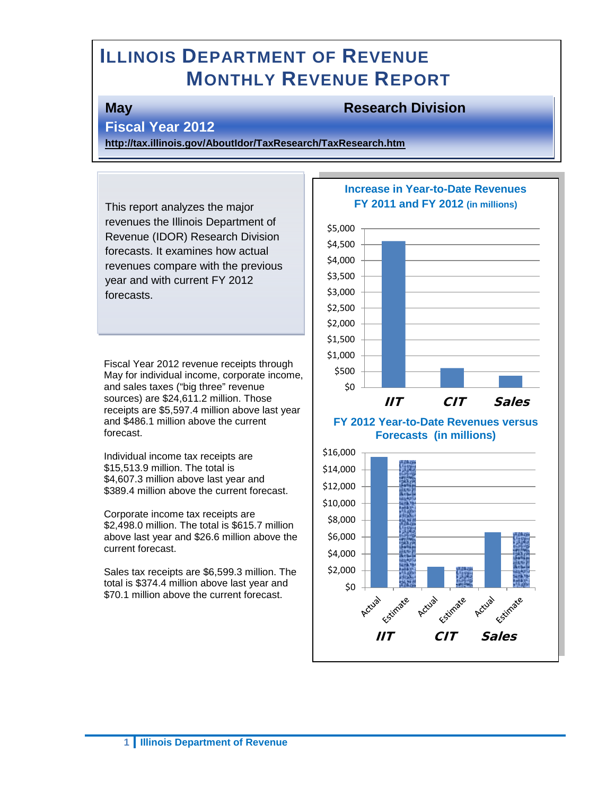# **ILLINOIS DEPARTMENT OF REVENUE MONTHLY REVENUE REPORT**

#### **May Research Division**

#### **Fiscal Year 2012**

**<http://tax.illinois.gov/AboutIdor/TaxResearch/TaxResearch.htm>**

This report analyzes the major revenues the Illinois Department of Revenue (IDOR) Research Division forecasts. It examines how actual revenues compare with the previous year and with current FY 2012 forecasts.

Fiscal Year 2012 revenue receipts through May for individual income, corporate income, and sales taxes ("big three" revenue sources) are \$24,611.2 million. Those receipts are \$5,597.4 million above last year and \$486.1 million above the current forecast.

Individual income tax receipts are \$15,513.9 million. The total is \$4,607.3 million above last year and \$389.4 million above the current forecast.

Corporate income tax receipts are \$2,498.0 million. The total is \$615.7 million above last year and \$26.6 million above the current forecast.

Sales tax receipts are \$6,599.3 million. The total is \$374.4 million above last year and \$70.1 million above the current forecast.

#### **Increase in Year-to-Date Revenues FY 2011 and FY 2012 (in millions)**



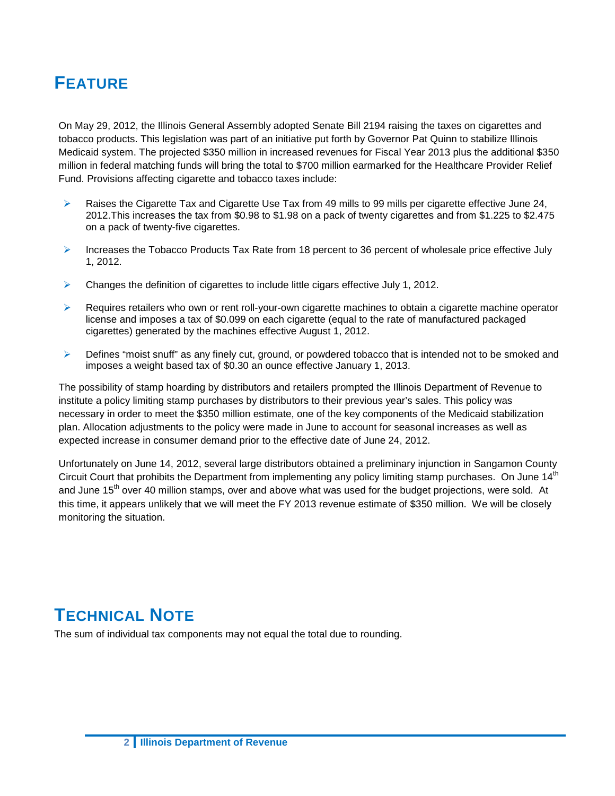## **FEATURE**

On May 29, 2012, the Illinois General Assembly adopted Senate Bill 2194 raising the taxes on cigarettes and tobacco products. This legislation was part of an initiative put forth by Governor Pat Quinn to stabilize Illinois Medicaid system. The projected \$350 million in increased revenues for Fiscal Year 2013 plus the additional \$350 million in federal matching funds will bring the total to \$700 million earmarked for the Healthcare Provider Relief Fund. Provisions affecting cigarette and tobacco taxes include:

- $\triangleright$  Raises the Cigarette Tax and Cigarette Use Tax from 49 mills to 99 mills per cigarette effective June 24, 2012.This increases the tax from \$0.98 to \$1.98 on a pack of twenty cigarettes and from \$1.225 to \$2.475 on a pack of twenty-five cigarettes.
- Increases the Tobacco Products Tax Rate from 18 percent to 36 percent of wholesale price effective July 1, 2012.
- $\triangleright$  Changes the definition of cigarettes to include little cigars effective July 1, 2012.
- $\triangleright$  Requires retailers who own or rent roll-your-own cigarette machines to obtain a cigarette machine operator license and imposes a tax of \$0.099 on each cigarette (equal to the rate of manufactured packaged cigarettes) generated by the machines effective August 1, 2012.
- $\triangleright$  Defines "moist snuff" as any finely cut, ground, or powdered tobacco that is intended not to be smoked and imposes a weight based tax of \$0.30 an ounce effective January 1, 2013.

The possibility of stamp hoarding by distributors and retailers prompted the Illinois Department of Revenue to institute a policy limiting stamp purchases by distributors to their previous year's sales. This policy was necessary in order to meet the \$350 million estimate, one of the key components of the Medicaid stabilization plan. Allocation adjustments to the policy were made in June to account for seasonal increases as well as expected increase in consumer demand prior to the effective date of June 24, 2012.

Unfortunately on June 14, 2012, several large distributors obtained a preliminary injunction in Sangamon County Circuit Court that prohibits the Department from implementing any policy limiting stamp purchases. On June 14<sup>th</sup> and June 15<sup>th</sup> over 40 million stamps, over and above what was used for the budget projections, were sold. At this time, it appears unlikely that we will meet the FY 2013 revenue estimate of \$350 million. We will be closely monitoring the situation.

## **TECHNICAL NOTE**

The sum of individual tax components may not equal the total due to rounding.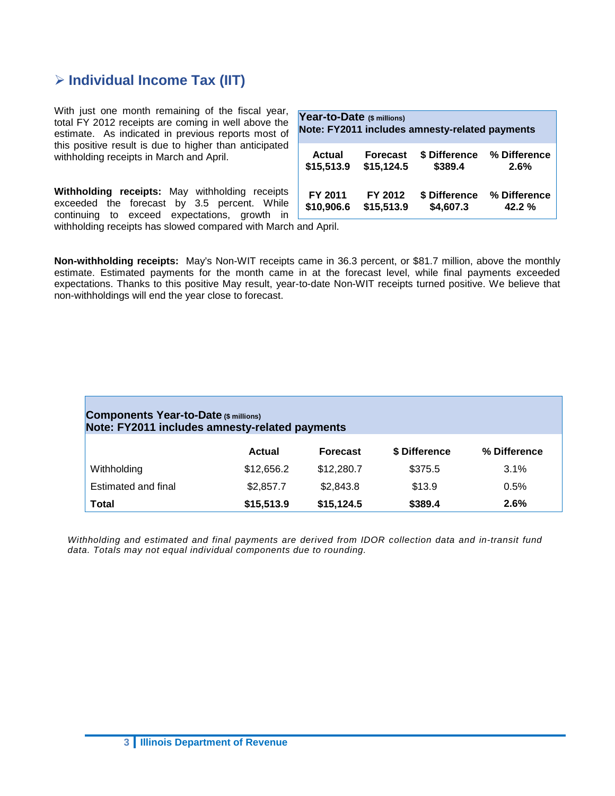#### **Individual Income Tax (IIT)**

With just one month remaining of the fiscal year, total FY 2012 receipts are coming in well above the estimate. As indicated in previous reports most of this positive result is due to higher than anticipated withholding receipts in March and April.

**Withholding receipts:** May withholding receipts exceeded the forecast by 3.5 percent. While continuing to exceed expectations, growth in

| Year-to-Date (\$ millions)<br>Note: FY2011 includes amnesty-related payments |                 |               |              |  |  |  |
|------------------------------------------------------------------------------|-----------------|---------------|--------------|--|--|--|
| Actual                                                                       | <b>Forecast</b> | \$ Difference | % Difference |  |  |  |
| \$15,513.9                                                                   | \$15,124.5      | \$389.4       | 2.6%         |  |  |  |
| FY 2011                                                                      | FY 2012         | \$ Difference | % Difference |  |  |  |
| \$10,906.6                                                                   | \$15,513.9      | \$4,607.3     | 42.2 %       |  |  |  |

withholding receipts has slowed compared with March and April.

**Non-withholding receipts:** May's Non-WIT receipts came in 36.3 percent, or \$81.7 million, above the monthly estimate. Estimated payments for the month came in at the forecast level, while final payments exceeded expectations. Thanks to this positive May result, year-to-date Non-WIT receipts turned positive. We believe that non-withholdings will end the year close to forecast.

| Components Year-to-Date (\$ millions)<br>Note: FY2011 includes amnesty-related payments |            |                 |               |              |  |  |  |
|-----------------------------------------------------------------------------------------|------------|-----------------|---------------|--------------|--|--|--|
|                                                                                         | Actual     | <b>Forecast</b> | \$ Difference | % Difference |  |  |  |
| Withholding                                                                             | \$12,656.2 | \$12,280.7      | \$375.5       | $3.1\%$      |  |  |  |
| Estimated and final                                                                     | \$2,857.7  | \$2,843.8       | \$13.9        | 0.5%         |  |  |  |
| <b>Total</b>                                                                            | \$15,513.9 | \$15,124.5      | \$389.4       | 2.6%         |  |  |  |

*Withholding and estimated and final payments are derived from IDOR collection data and in-transit fund data. Totals may not equal individual components due to rounding.*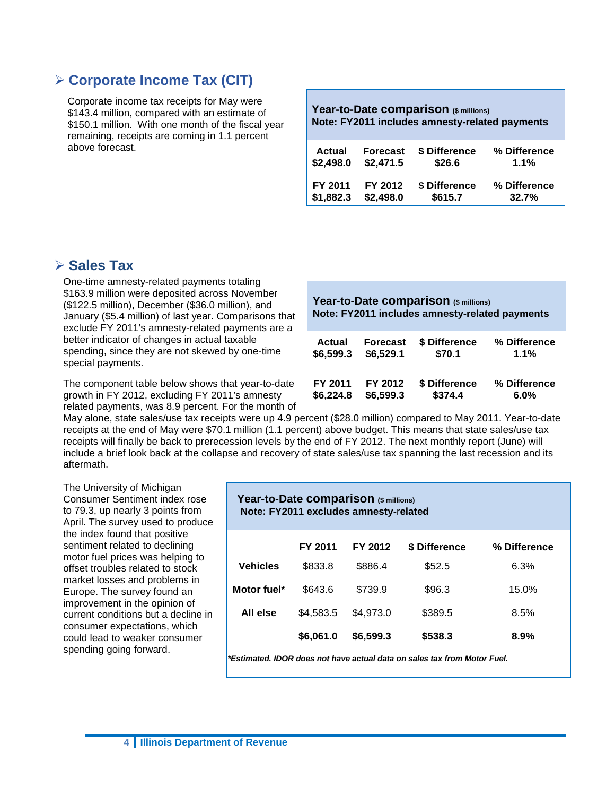#### **Corporate Income Tax (CIT)**

Corporate income tax receipts for May were \$143.4 million, compared with an estimate of \$150.1 million. With one month of the fiscal year remaining, receipts are coming in 1.1 percent above forecast.

#### **Year-to-Date comparison (\$ millions) Note: FY2011 includes amnesty-related payments**

| Actual         | <b>Forecast</b> | \$ Difference | % Difference |
|----------------|-----------------|---------------|--------------|
| \$2,498.0      | \$2,471.5       | \$26.6        | 1.1%         |
| <b>FY 2011</b> | FY 2012         | \$ Difference | % Difference |
| \$1,882.3      | \$2,498.0       | \$615.7       | 32.7%        |

#### **≻ Sales Tax**

One-time amnesty-related payments totaling \$163.9 million were deposited across November (\$122.5 million), December (\$36.0 million), and January (\$5.4 million) of last year. Comparisons that exclude FY 2011's amnesty-related payments are a better indicator of changes in actual taxable spending, since they are not skewed by one-time special payments.

The component table below shows that year-to-date growth in FY 2012, excluding FY 2011's amnesty related payments, was 8.9 percent. For the month of

| Year-to-Date comparison (\$ millions)<br>Note: FY2011 includes amnesty-related payments |                 |               |              |  |  |
|-----------------------------------------------------------------------------------------|-----------------|---------------|--------------|--|--|
| <b>Actual</b>                                                                           | <b>Forecast</b> | \$ Difference | % Difference |  |  |
| \$6,599.3                                                                               | \$6,529.1       | \$70.1        | 1.1%         |  |  |
| FY 2011                                                                                 | FY 2012         | \$ Difference | % Difference |  |  |
| \$6,224.8                                                                               | \$6,599.3       | \$374.4       | $6.0\%$      |  |  |

May alone, state sales/use tax receipts were up 4.9 percent (\$28.0 million) compared to May 2011. Year-to-date receipts at the end of May were \$70.1 million (1.1 percent) above budget. This means that state sales/use tax receipts will finally be back to prerecession levels by the end of FY 2012. The next monthly report (June) will include a brief look back at the collapse and recovery of state sales/use tax spanning the last recession and its aftermath.

The University of Michigan Consumer Sentiment index rose to 79.3, up nearly 3 points from April. The survey used to produce the index found that positive sentiment related to declining motor fuel prices was helping to offset troubles related to stock market losses and problems in Europe. The survey found an improvement in the opinion of current conditions but a decline in consumer expectations, which could lead to weaker consumer spending going forward.

# **Year-to-Date comparison (\$ millions) Note: FY2011 excludes amnesty-**r**elated FY 2011 FY 2012 \$ Difference % Difference Vehicles** \$833.8 \$886.4 \$52.5 6.3% **Motor fuel\*** \$643.6 \$739.9 \$96.3 15.0% **All else** \$4,583.5 \$4,973.0 \$389.5 8.5% **\$6,061.0 \$6,599.3 \$538.3 8.9%**

*\*Estimated. IDOR does not have actual data on sales tax from Motor Fuel.*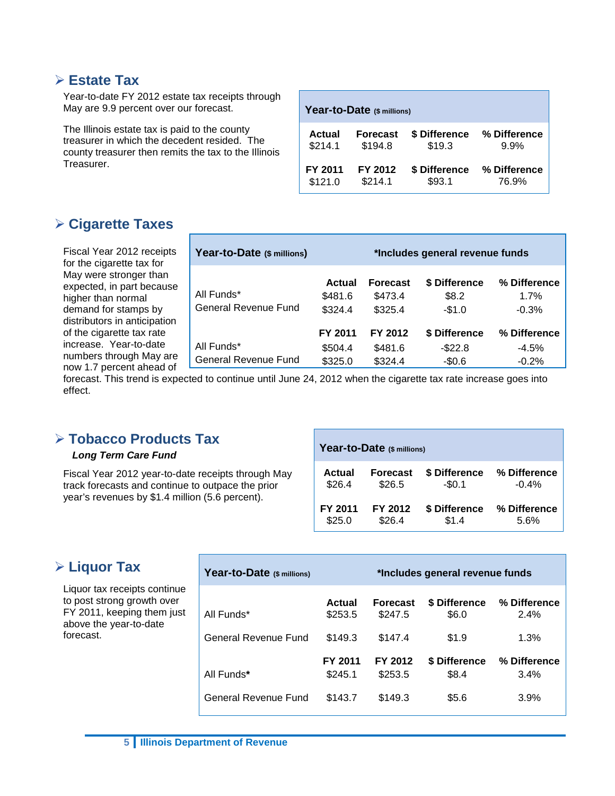#### **Estate Tax**

Year-to-date FY 2012 estate tax receipts through May are 9.9 percent over our forecast.

The Illinois estate tax is paid to the county treasurer in which the decedent resided. The county treasurer then remits the tax to the Illinois Treasurer.

| Year-to-Date (\$ millions) |                 |               |              |  |  |  |
|----------------------------|-----------------|---------------|--------------|--|--|--|
| Actual                     | <b>Forecast</b> | \$ Difference | % Difference |  |  |  |
| \$214.1                    | \$194.8         | \$19.3        | 9.9%         |  |  |  |
| FY 2011                    | FY 2012         | \$ Difference | % Difference |  |  |  |
| \$121.0                    | \$214.1         | \$93.1        | 76.9%        |  |  |  |

#### **Cigarette Taxes**

Fiscal Year 2012 receipts for the cigarette tax for May were stronger than expected, in part because higher than normal demand for stamps by distributors in anticipation of the cigarette tax rate increase. Year-to-date numbers through May are now 1.7 percent ahead of

| Year-to-Date (\$ millions)         | *Includes general revenue funds |                                       |                                      |                                    |  |
|------------------------------------|---------------------------------|---------------------------------------|--------------------------------------|------------------------------------|--|
| All Funds*<br>General Revenue Fund | Actual<br>\$481.6<br>\$324.4    | <b>Forecast</b><br>\$473.4<br>\$325.4 | \$ Difference<br>\$8.2<br>$-$1.0$    | % Difference<br>$1.7\%$<br>$-0.3%$ |  |
| All Funds*<br>General Revenue Fund | FY 2011<br>\$504.4<br>\$325.0   | FY 2012<br>\$481.6<br>\$324.4         | \$ Difference<br>$-$22.8$<br>$-$0.6$ | % Difference<br>$-4.5%$<br>$-0.2%$ |  |

forecast. This trend is expected to continue until June 24, 2012 when the cigarette tax rate increase goes into effect.

#### **Tobacco Products Tax**

#### *Long Term Care Fund*

Fiscal Year 2012 year-to-date receipts through May track forecasts and continue to outpace the prior year's revenues by \$1.4 million (5.6 percent).

## **Year-to-Date (\$ millions) Actual Forecast \$ Difference % Difference** \$26.4 \$26.5 -\$0.1 -0.4%

| FY 2011 | FY 2012 | \$ Difference | % Difference |
|---------|---------|---------------|--------------|
| \$25.0  | \$26.4  | \$1.4         | 5.6%         |

#### **Liquor Tax**

Liquor tax receipts continue to post strong growth over FY 2011, keeping them just above the year-to-date forecast.

| Year-to-Date (\$ millions)  | *Includes general revenue funds |                            |                        |                      |
|-----------------------------|---------------------------------|----------------------------|------------------------|----------------------|
| All Funds*                  | Actual<br>\$253.5               | <b>Forecast</b><br>\$247.5 | \$ Difference<br>\$6.0 | % Difference<br>2.4% |
| General Revenue Fund        | \$149.3                         | \$147.4                    | \$1.9                  | 1.3%                 |
| All Funds*                  | FY 2011<br>\$245.1              | FY 2012<br>\$253.5         | \$ Difference<br>\$8.4 | % Difference<br>3.4% |
| <b>General Revenue Fund</b> | \$143.7                         | \$149.3                    | \$5.6                  | 3.9%                 |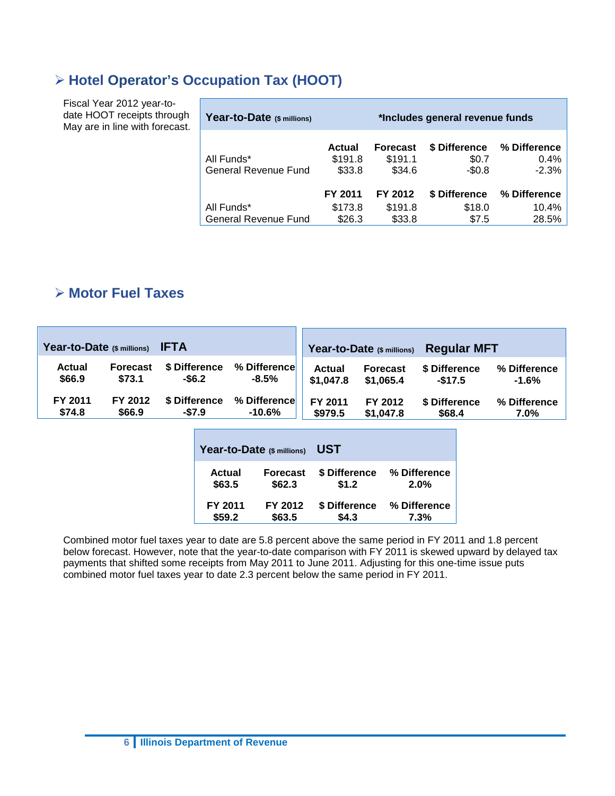### **Hotel Operator's Occupation Tax (HOOT)**

Fiscal Year 2012 year-todate HOOT receipts through May are in line with forecast.

| Year-to-Date (\$ millions)                | *Includes general revenue funds |                                      |                                   |                                    |
|-------------------------------------------|---------------------------------|--------------------------------------|-----------------------------------|------------------------------------|
| All Funds*<br>General Revenue Fund        | Actual<br>\$191.8<br>\$33.8     | <b>Forecast</b><br>\$191.1<br>\$34.6 | \$ Difference<br>\$0.7<br>$-$0.8$ | % Difference<br>$0.4\%$<br>$-2.3%$ |
| All Funds*<br><b>General Revenue Fund</b> | FY 2011<br>\$173.8<br>\$26.3    | FY 2012<br>\$191.8<br>\$33.8         | \$ Difference<br>\$18.0<br>\$7.5  | % Difference<br>10.4%<br>28.5%     |

#### **Motor Fuel Taxes**

| Year-to-Date (\$ millions) |                 | <b>IFTA</b>   |              |               | Year-to-Date (\$ millions) | <b>Regular MFT</b> |              |
|----------------------------|-----------------|---------------|--------------|---------------|----------------------------|--------------------|--------------|
| <b>Actual</b>              | <b>Forecast</b> | \$ Difference | % Difference | <b>Actual</b> | <b>Forecast</b>            | \$ Difference      | % Difference |
| \$66.9                     | \$73.1          | $-$ \$6.2     | $-8.5%$      | \$1,047.8     | \$1,065.4                  | $-$17.5$           | -1.6%        |
| FY 2011                    | FY 2012         | \$ Difference | % Difference | FY 2011       | FY 2012                    | \$ Difference      | % Difference |
| \$74.8                     | \$66.9          | $-$7.9$       | $-10.6\%$    | \$979.5       | \$1.047.8                  | \$68.4             | 7.0%         |

| Year-to-Date (\$ millions) |                 | <b>UST</b>    |              |
|----------------------------|-----------------|---------------|--------------|
| Actual                     | <b>Forecast</b> | \$ Difference | % Difference |
| \$63.5                     | \$62.3          | \$1.2         | 2.0%         |
| <b>FY 2011</b>             | FY 2012         | \$ Difference | % Difference |
| \$59.2                     | \$63.5          | \$4.3         | 7.3%         |

Combined motor fuel taxes year to date are 5.8 percent above the same period in FY 2011 and 1.8 percent below forecast. However, note that the year-to-date comparison with FY 2011 is skewed upward by delayed tax payments that shifted some receipts from May 2011 to June 2011. Adjusting for this one-time issue puts combined motor fuel taxes year to date 2.3 percent below the same period in FY 2011.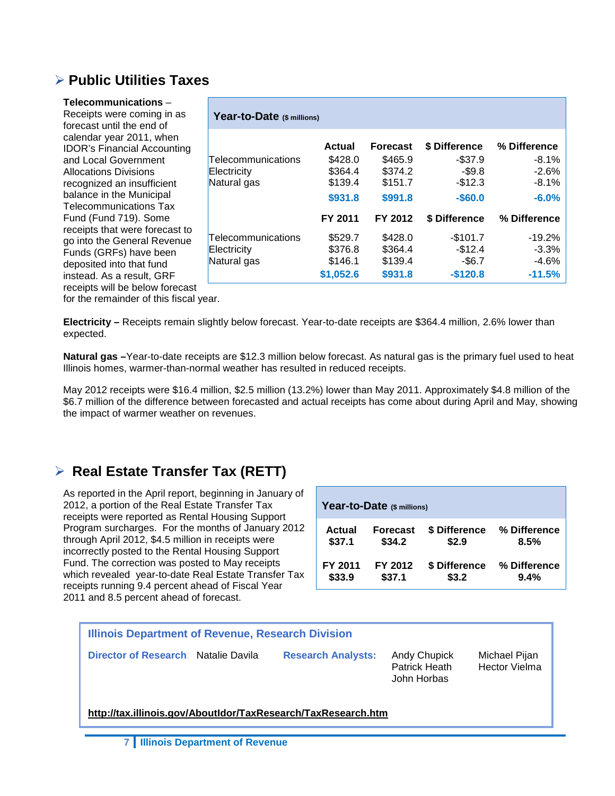#### **Public Utilities Taxes**

| Telecommunications -<br>Receipts were coming in as<br>forecast until the end of | Year-to-Date (\$ millions) |           |                 |               |              |  |
|---------------------------------------------------------------------------------|----------------------------|-----------|-----------------|---------------|--------------|--|
| calendar year 2011, when<br><b>IDOR's Financial Accounting</b>                  |                            | Actual    | <b>Forecast</b> | \$ Difference | % Difference |  |
| and Local Government                                                            | Telecommunications         | \$428.0   | \$465.9         | $-$ \$37.9    | -8.1%        |  |
| <b>Allocations Divisions</b>                                                    | Electricity                | \$364.4   | \$374.2         | $-$9.8$       | $-2.6%$      |  |
| recognized an insufficient                                                      | Natural gas                | \$139.4   | \$151.7         | $-$12.3$      | $-8.1%$      |  |
| balance in the Municipal<br><b>Telecommunications Tax</b>                       |                            | \$931.8   | \$991.8         | $-$ \$60.0    | $-6.0%$      |  |
| Fund (Fund 719). Some<br>receipts that were forecast to                         |                            | FY 2011   | FY 2012         | \$ Difference | % Difference |  |
| go into the General Revenue                                                     | Telecommunications         | \$529.7   | \$428.0         | $-$101.7$     | $-19.2%$     |  |
| Funds (GRFs) have been                                                          | Electricity                | \$376.8   | \$364.4         | $-$12.4$      | $-3.3%$      |  |
| deposited into that fund                                                        | Natural gas                | \$146.1   | \$139.4         | $-$ \$6.7     | -4.6%        |  |
| instead. As a result, GRF                                                       |                            | \$1,052.6 | \$931.8         | $-$120.8$     | $-11.5%$     |  |
| receipts will be below forecast                                                 |                            |           |                 |               |              |  |

for the remainder of this fiscal year.

**Electricity –** Receipts remain slightly below forecast. Year-to-date receipts are \$364.4 million, 2.6% lower than expected.

**Natural gas –**Year-to-date receipts are \$12.3 million below forecast. As natural gas is the primary fuel used to heat Illinois homes, warmer-than-normal weather has resulted in reduced receipts.

May 2012 receipts were \$16.4 million, \$2.5 million (13.2%) lower than May 2011. Approximately \$4.8 million of the \$6.7 million of the difference between forecasted and actual receipts has come about during April and May, showing the impact of warmer weather on revenues.

#### **Real Estate Transfer Tax (RETT)**

As reported in the April report, beginning in January of 2012, a portion of the Real Estate Transfer Tax receipts were reported as Rental Housing Support Program surcharges. For the months of January 2012 through April 2012, \$4.5 million in receipts were incorrectly posted to the Rental Housing Support Fund. The correction was posted to May receipts which revealed year-to-date Real Estate Transfer Tax receipts running 9.4 percent ahead of Fiscal Year 2011 and 8.5 percent ahead of forecast.

| Year-to-Date (\$ millions) |                 |               |              |  |  |  |  |  |  |  |
|----------------------------|-----------------|---------------|--------------|--|--|--|--|--|--|--|
| Actual                     | <b>Forecast</b> | \$ Difference | % Difference |  |  |  |  |  |  |  |
| \$37.1                     | \$34.2          | \$2.9         | 8.5%         |  |  |  |  |  |  |  |
| FY 2011                    | FY 2012         | \$ Difference | % Difference |  |  |  |  |  |  |  |
| \$33.9                     | \$37.1          | \$3.2         | 9.4%         |  |  |  |  |  |  |  |

| Illinois Department of Revenue, Research Division             |                           |                                                     |                                       |  |  |  |  |  |  |
|---------------------------------------------------------------|---------------------------|-----------------------------------------------------|---------------------------------------|--|--|--|--|--|--|
| Director of Research: Natalie Davila                          | <b>Research Analysts:</b> | <b>Andy Chupick</b><br>Patrick Heath<br>John Horbas | Michael Pijan<br><b>Hector Vielma</b> |  |  |  |  |  |  |
| http://tax.illinois.gov/AboutIdor/TaxResearch/TaxResearch.htm |                           |                                                     |                                       |  |  |  |  |  |  |